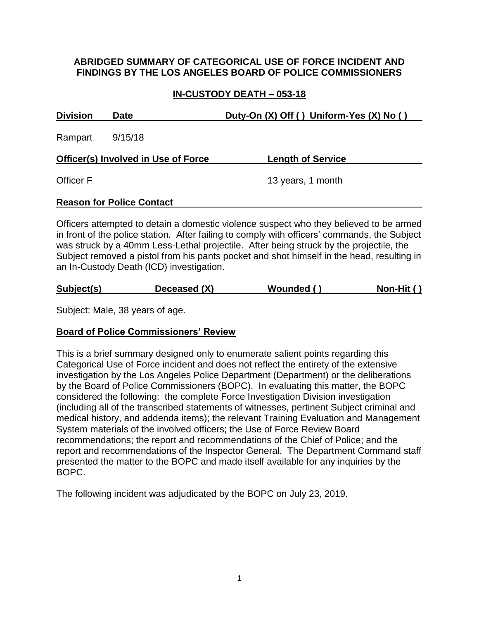### **ABRIDGED SUMMARY OF CATEGORICAL USE OF FORCE INCIDENT AND FINDINGS BY THE LOS ANGELES BOARD OF POLICE COMMISSIONERS**

# **IN-CUSTODY DEATH – 053-18**

| <b>Division</b><br>Date                    |                                  | Duty-On (X) Off () Uniform-Yes (X) No ()                                               |  |  |
|--------------------------------------------|----------------------------------|----------------------------------------------------------------------------------------|--|--|
| Rampart                                    | 9/15/18                          |                                                                                        |  |  |
| <b>Officer(s) Involved in Use of Force</b> |                                  | <b>Length of Service</b>                                                               |  |  |
| <b>Officer F</b>                           |                                  | 13 years, 1 month                                                                      |  |  |
|                                            | <b>Reason for Police Contact</b> |                                                                                        |  |  |
|                                            |                                  | Officers attempted to detain a domestic violence suspect who they helieved to be armed |  |  |

Officers attempted to detain a domestic violence suspect who they believed to be armed in front of the police station. After failing to comply with officers' commands, the Subject was struck by a 40mm Less-Lethal projectile. After being struck by the projectile, the Subject removed a pistol from his pants pocket and shot himself in the head, resulting in an In-Custody Death (ICD) investigation.

| Subject(s) | Deceased (X) | Wounded () | Non-Hit () |
|------------|--------------|------------|------------|
|            |              |            |            |

Subject: Male, 38 years of age.

## **Board of Police Commissioners' Review**

This is a brief summary designed only to enumerate salient points regarding this Categorical Use of Force incident and does not reflect the entirety of the extensive investigation by the Los Angeles Police Department (Department) or the deliberations by the Board of Police Commissioners (BOPC). In evaluating this matter, the BOPC considered the following: the complete Force Investigation Division investigation (including all of the transcribed statements of witnesses, pertinent Subject criminal and medical history, and addenda items); the relevant Training Evaluation and Management System materials of the involved officers; the Use of Force Review Board recommendations; the report and recommendations of the Chief of Police; and the report and recommendations of the Inspector General. The Department Command staff presented the matter to the BOPC and made itself available for any inquiries by the BOPC.

The following incident was adjudicated by the BOPC on July 23, 2019.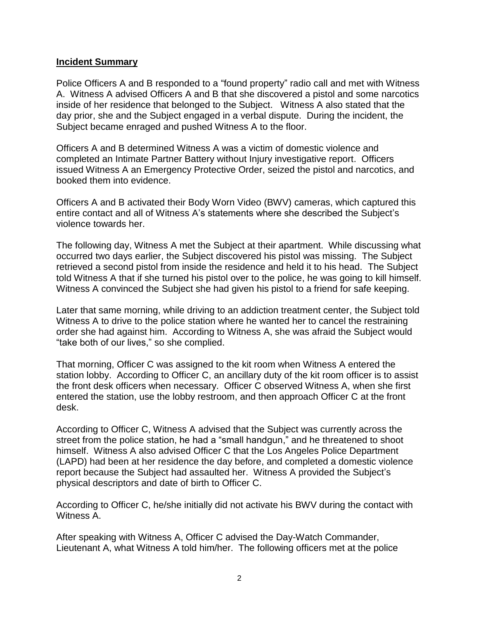#### **Incident Summary**

Police Officers A and B responded to a "found property" radio call and met with Witness A. Witness A advised Officers A and B that she discovered a pistol and some narcotics inside of her residence that belonged to the Subject. Witness A also stated that the day prior, she and the Subject engaged in a verbal dispute. During the incident, the Subject became enraged and pushed Witness A to the floor.

Officers A and B determined Witness A was a victim of domestic violence and completed an Intimate Partner Battery without Injury investigative report. Officers issued Witness A an Emergency Protective Order, seized the pistol and narcotics, and booked them into evidence.

Officers A and B activated their Body Worn Video (BWV) cameras, which captured this entire contact and all of Witness A's statements where she described the Subject's violence towards her.

The following day, Witness A met the Subject at their apartment. While discussing what occurred two days earlier, the Subject discovered his pistol was missing. The Subject retrieved a second pistol from inside the residence and held it to his head. The Subject told Witness A that if she turned his pistol over to the police, he was going to kill himself. Witness A convinced the Subject she had given his pistol to a friend for safe keeping.

Later that same morning, while driving to an addiction treatment center, the Subject told Witness A to drive to the police station where he wanted her to cancel the restraining order she had against him. According to Witness A, she was afraid the Subject would "take both of our lives," so she complied.

That morning, Officer C was assigned to the kit room when Witness A entered the station lobby. According to Officer C, an ancillary duty of the kit room officer is to assist the front desk officers when necessary. Officer C observed Witness A, when she first entered the station, use the lobby restroom, and then approach Officer C at the front desk.

According to Officer C, Witness A advised that the Subject was currently across the street from the police station, he had a "small handgun," and he threatened to shoot himself. Witness A also advised Officer C that the Los Angeles Police Department (LAPD) had been at her residence the day before, and completed a domestic violence report because the Subject had assaulted her. Witness A provided the Subject's physical descriptors and date of birth to Officer C.

According to Officer C, he/she initially did not activate his BWV during the contact with Witness A.

After speaking with Witness A, Officer C advised the Day-Watch Commander, Lieutenant A, what Witness A told him/her. The following officers met at the police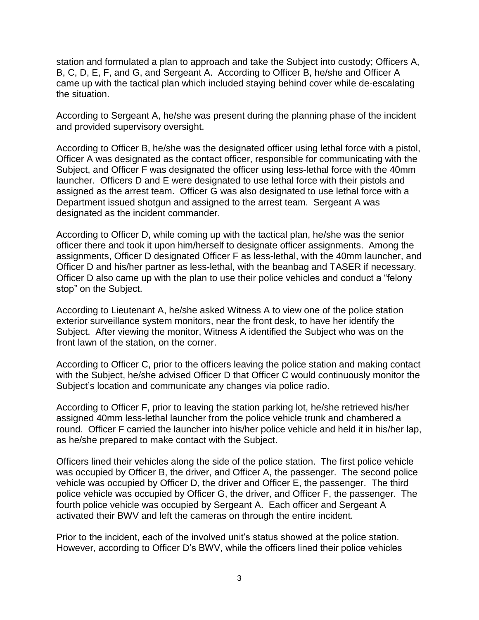station and formulated a plan to approach and take the Subject into custody; Officers A, B, C, D, E, F, and G, and Sergeant A. According to Officer B, he/she and Officer A came up with the tactical plan which included staying behind cover while de-escalating the situation.

According to Sergeant A, he/she was present during the planning phase of the incident and provided supervisory oversight.

According to Officer B, he/she was the designated officer using lethal force with a pistol, Officer A was designated as the contact officer, responsible for communicating with the Subject, and Officer F was designated the officer using less-lethal force with the 40mm launcher. Officers D and E were designated to use lethal force with their pistols and assigned as the arrest team. Officer G was also designated to use lethal force with a Department issued shotgun and assigned to the arrest team. Sergeant A was designated as the incident commander.

According to Officer D, while coming up with the tactical plan, he/she was the senior officer there and took it upon him/herself to designate officer assignments. Among the assignments, Officer D designated Officer F as less-lethal, with the 40mm launcher, and Officer D and his/her partner as less-lethal, with the beanbag and TASER if necessary. Officer D also came up with the plan to use their police vehicles and conduct a "felony stop" on the Subject.

According to Lieutenant A, he/she asked Witness A to view one of the police station exterior surveillance system monitors, near the front desk, to have her identify the Subject. After viewing the monitor, Witness A identified the Subject who was on the front lawn of the station, on the corner.

According to Officer C, prior to the officers leaving the police station and making contact with the Subject, he/she advised Officer D that Officer C would continuously monitor the Subject's location and communicate any changes via police radio.

According to Officer F, prior to leaving the station parking lot, he/she retrieved his/her assigned 40mm less-lethal launcher from the police vehicle trunk and chambered a round. Officer F carried the launcher into his/her police vehicle and held it in his/her lap, as he/she prepared to make contact with the Subject.

Officers lined their vehicles along the side of the police station. The first police vehicle was occupied by Officer B, the driver, and Officer A, the passenger. The second police vehicle was occupied by Officer D, the driver and Officer E, the passenger. The third police vehicle was occupied by Officer G, the driver, and Officer F, the passenger. The fourth police vehicle was occupied by Sergeant A. Each officer and Sergeant A activated their BWV and left the cameras on through the entire incident.

Prior to the incident, each of the involved unit's status showed at the police station. However, according to Officer D's BWV, while the officers lined their police vehicles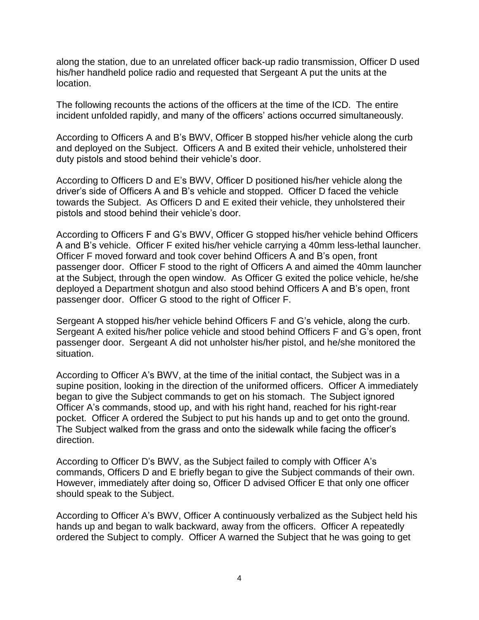along the station, due to an unrelated officer back-up radio transmission, Officer D used his/her handheld police radio and requested that Sergeant A put the units at the location.

The following recounts the actions of the officers at the time of the ICD. The entire incident unfolded rapidly, and many of the officers' actions occurred simultaneously.

According to Officers A and B's BWV, Officer B stopped his/her vehicle along the curb and deployed on the Subject. Officers A and B exited their vehicle, unholstered their duty pistols and stood behind their vehicle's door.

According to Officers D and E's BWV, Officer D positioned his/her vehicle along the driver's side of Officers A and B's vehicle and stopped. Officer D faced the vehicle towards the Subject. As Officers D and E exited their vehicle, they unholstered their pistols and stood behind their vehicle's door.

According to Officers F and G's BWV, Officer G stopped his/her vehicle behind Officers A and B's vehicle. Officer F exited his/her vehicle carrying a 40mm less-lethal launcher. Officer F moved forward and took cover behind Officers A and B's open, front passenger door. Officer F stood to the right of Officers A and aimed the 40mm launcher at the Subject, through the open window. As Officer G exited the police vehicle, he/she deployed a Department shotgun and also stood behind Officers A and B's open, front passenger door. Officer G stood to the right of Officer F.

Sergeant A stopped his/her vehicle behind Officers F and G's vehicle, along the curb. Sergeant A exited his/her police vehicle and stood behind Officers F and G's open, front passenger door. Sergeant A did not unholster his/her pistol, and he/she monitored the situation.

According to Officer A's BWV, at the time of the initial contact, the Subject was in a supine position, looking in the direction of the uniformed officers. Officer A immediately began to give the Subject commands to get on his stomach. The Subject ignored Officer A's commands, stood up, and with his right hand, reached for his right-rear pocket. Officer A ordered the Subject to put his hands up and to get onto the ground. The Subject walked from the grass and onto the sidewalk while facing the officer's direction.

According to Officer D's BWV, as the Subject failed to comply with Officer A's commands, Officers D and E briefly began to give the Subject commands of their own. However, immediately after doing so, Officer D advised Officer E that only one officer should speak to the Subject.

According to Officer A's BWV, Officer A continuously verbalized as the Subject held his hands up and began to walk backward, away from the officers. Officer A repeatedly ordered the Subject to comply. Officer A warned the Subject that he was going to get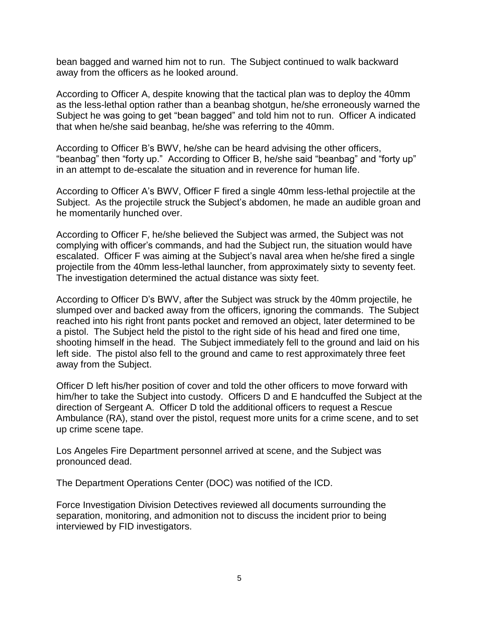bean bagged and warned him not to run. The Subject continued to walk backward away from the officers as he looked around.

According to Officer A, despite knowing that the tactical plan was to deploy the 40mm as the less-lethal option rather than a beanbag shotgun, he/she erroneously warned the Subject he was going to get "bean bagged" and told him not to run. Officer A indicated that when he/she said beanbag, he/she was referring to the 40mm.

According to Officer B's BWV, he/she can be heard advising the other officers, "beanbag" then "forty up." According to Officer B, he/she said "beanbag" and "forty up" in an attempt to de-escalate the situation and in reverence for human life.

According to Officer A's BWV, Officer F fired a single 40mm less-lethal projectile at the Subject. As the projectile struck the Subject's abdomen, he made an audible groan and he momentarily hunched over.

According to Officer F, he/she believed the Subject was armed, the Subject was not complying with officer's commands, and had the Subject run, the situation would have escalated. Officer F was aiming at the Subject's naval area when he/she fired a single projectile from the 40mm less-lethal launcher, from approximately sixty to seventy feet. The investigation determined the actual distance was sixty feet.

According to Officer D's BWV, after the Subject was struck by the 40mm projectile, he slumped over and backed away from the officers, ignoring the commands. The Subject reached into his right front pants pocket and removed an object, later determined to be a pistol. The Subject held the pistol to the right side of his head and fired one time, shooting himself in the head. The Subject immediately fell to the ground and laid on his left side. The pistol also fell to the ground and came to rest approximately three feet away from the Subject.

Officer D left his/her position of cover and told the other officers to move forward with him/her to take the Subject into custody. Officers D and E handcuffed the Subject at the direction of Sergeant A. Officer D told the additional officers to request a Rescue Ambulance (RA), stand over the pistol, request more units for a crime scene, and to set up crime scene tape.

Los Angeles Fire Department personnel arrived at scene, and the Subject was pronounced dead.

The Department Operations Center (DOC) was notified of the ICD.

Force Investigation Division Detectives reviewed all documents surrounding the separation, monitoring, and admonition not to discuss the incident prior to being interviewed by FID investigators.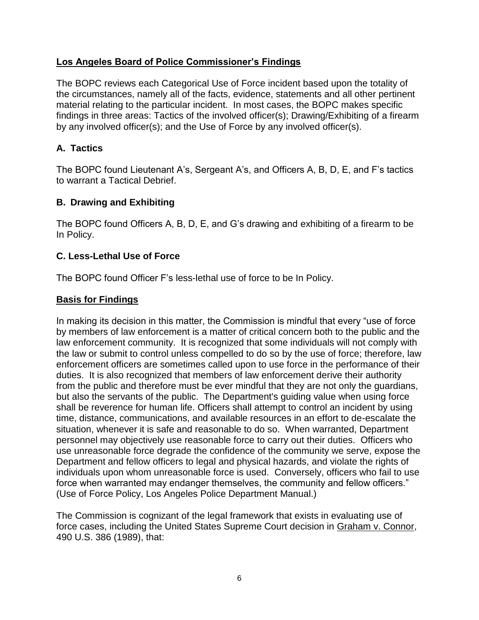# **Los Angeles Board of Police Commissioner's Findings**

The BOPC reviews each Categorical Use of Force incident based upon the totality of the circumstances, namely all of the facts, evidence, statements and all other pertinent material relating to the particular incident. In most cases, the BOPC makes specific findings in three areas: Tactics of the involved officer(s); Drawing/Exhibiting of a firearm by any involved officer(s); and the Use of Force by any involved officer(s).

# **A. Tactics**

The BOPC found Lieutenant A's, Sergeant A's, and Officers A, B, D, E, and F's tactics to warrant a Tactical Debrief.

# **B. Drawing and Exhibiting**

The BOPC found Officers A, B, D, E, and G's drawing and exhibiting of a firearm to be In Policy.

## **C. Less-Lethal Use of Force**

The BOPC found Officer F's less-lethal use of force to be In Policy.

## **Basis for Findings**

In making its decision in this matter, the Commission is mindful that every "use of force by members of law enforcement is a matter of critical concern both to the public and the law enforcement community. It is recognized that some individuals will not comply with the law or submit to control unless compelled to do so by the use of force; therefore, law enforcement officers are sometimes called upon to use force in the performance of their duties. It is also recognized that members of law enforcement derive their authority from the public and therefore must be ever mindful that they are not only the guardians, but also the servants of the public. The Department's guiding value when using force shall be reverence for human life. Officers shall attempt to control an incident by using time, distance, communications, and available resources in an effort to de-escalate the situation, whenever it is safe and reasonable to do so. When warranted, Department personnel may objectively use reasonable force to carry out their duties. Officers who use unreasonable force degrade the confidence of the community we serve, expose the Department and fellow officers to legal and physical hazards, and violate the rights of individuals upon whom unreasonable force is used. Conversely, officers who fail to use force when warranted may endanger themselves, the community and fellow officers." (Use of Force Policy, Los Angeles Police Department Manual.)

The Commission is cognizant of the legal framework that exists in evaluating use of force cases, including the United States Supreme Court decision in Graham v. Connor, 490 U.S. 386 (1989), that: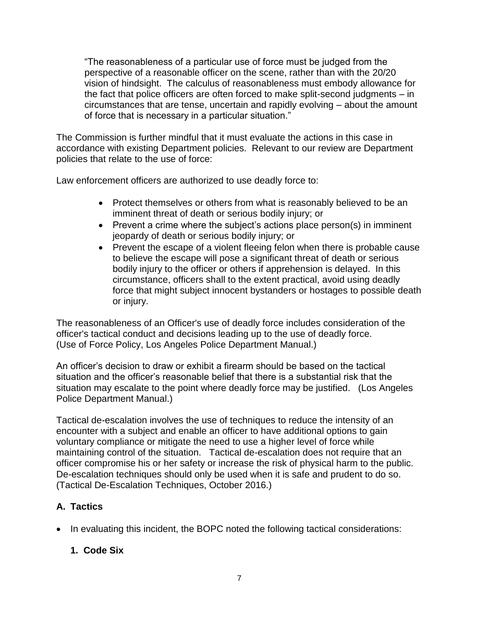"The reasonableness of a particular use of force must be judged from the perspective of a reasonable officer on the scene, rather than with the 20/20 vision of hindsight. The calculus of reasonableness must embody allowance for the fact that police officers are often forced to make split-second judgments – in circumstances that are tense, uncertain and rapidly evolving – about the amount of force that is necessary in a particular situation."

The Commission is further mindful that it must evaluate the actions in this case in accordance with existing Department policies. Relevant to our review are Department policies that relate to the use of force:

Law enforcement officers are authorized to use deadly force to:

- Protect themselves or others from what is reasonably believed to be an imminent threat of death or serious bodily injury; or
- Prevent a crime where the subject's actions place person(s) in imminent jeopardy of death or serious bodily injury; or
- Prevent the escape of a violent fleeing felon when there is probable cause to believe the escape will pose a significant threat of death or serious bodily injury to the officer or others if apprehension is delayed. In this circumstance, officers shall to the extent practical, avoid using deadly force that might subject innocent bystanders or hostages to possible death or injury.

The reasonableness of an Officer's use of deadly force includes consideration of the officer's tactical conduct and decisions leading up to the use of deadly force. (Use of Force Policy, Los Angeles Police Department Manual.)

An officer's decision to draw or exhibit a firearm should be based on the tactical situation and the officer's reasonable belief that there is a substantial risk that the situation may escalate to the point where deadly force may be justified. (Los Angeles Police Department Manual.)

Tactical de-escalation involves the use of techniques to reduce the intensity of an encounter with a subject and enable an officer to have additional options to gain voluntary compliance or mitigate the need to use a higher level of force while maintaining control of the situation. Tactical de-escalation does not require that an officer compromise his or her safety or increase the risk of physical harm to the public. De-escalation techniques should only be used when it is safe and prudent to do so. (Tactical De-Escalation Techniques, October 2016.)

# **A. Tactics**

• In evaluating this incident, the BOPC noted the following tactical considerations:

# **1. Code Six**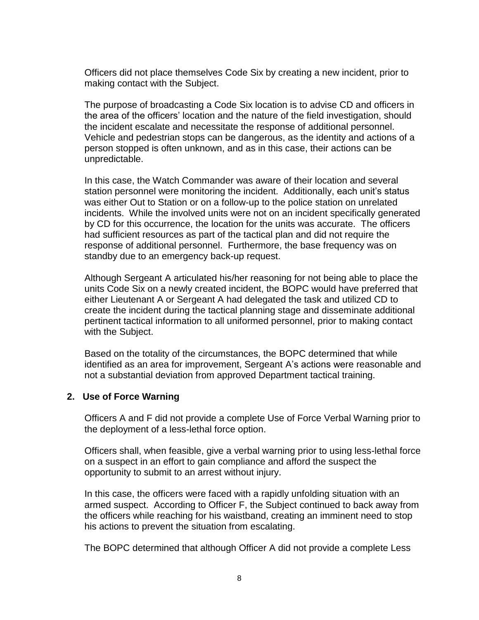Officers did not place themselves Code Six by creating a new incident, prior to making contact with the Subject.

The purpose of broadcasting a Code Six location is to advise CD and officers in the area of the officers' location and the nature of the field investigation, should the incident escalate and necessitate the response of additional personnel. Vehicle and pedestrian stops can be dangerous, as the identity and actions of a person stopped is often unknown, and as in this case, their actions can be unpredictable.

In this case, the Watch Commander was aware of their location and several station personnel were monitoring the incident. Additionally, each unit's status was either Out to Station or on a follow-up to the police station on unrelated incidents. While the involved units were not on an incident specifically generated by CD for this occurrence, the location for the units was accurate. The officers had sufficient resources as part of the tactical plan and did not require the response of additional personnel. Furthermore, the base frequency was on standby due to an emergency back-up request.

Although Sergeant A articulated his/her reasoning for not being able to place the units Code Six on a newly created incident, the BOPC would have preferred that either Lieutenant A or Sergeant A had delegated the task and utilized CD to create the incident during the tactical planning stage and disseminate additional pertinent tactical information to all uniformed personnel, prior to making contact with the Subject.

Based on the totality of the circumstances, the BOPC determined that while identified as an area for improvement, Sergeant A's actions were reasonable and not a substantial deviation from approved Department tactical training.

#### **2. Use of Force Warning**

Officers A and F did not provide a complete Use of Force Verbal Warning prior to the deployment of a less-lethal force option.

Officers shall, when feasible, give a verbal warning prior to using less-lethal force on a suspect in an effort to gain compliance and afford the suspect the opportunity to submit to an arrest without injury.

In this case, the officers were faced with a rapidly unfolding situation with an armed suspect. According to Officer F, the Subject continued to back away from the officers while reaching for his waistband, creating an imminent need to stop his actions to prevent the situation from escalating.

The BOPC determined that although Officer A did not provide a complete Less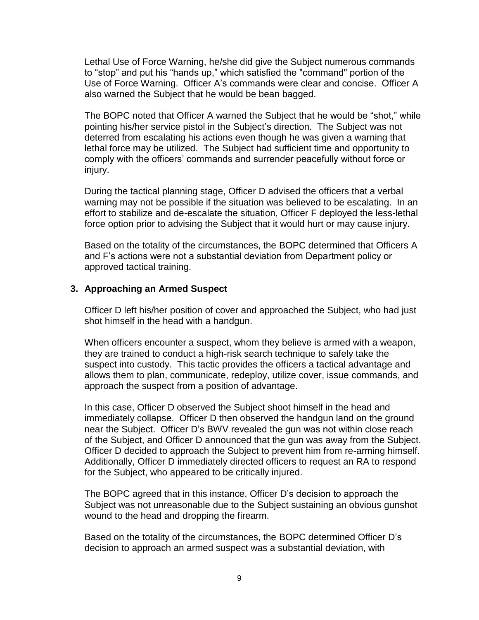Lethal Use of Force Warning, he/she did give the Subject numerous commands to "stop" and put his "hands up," which satisfied the "command" portion of the Use of Force Warning. Officer A's commands were clear and concise. Officer A also warned the Subject that he would be bean bagged.

The BOPC noted that Officer A warned the Subject that he would be "shot," while pointing his/her service pistol in the Subject's direction. The Subject was not deterred from escalating his actions even though he was given a warning that lethal force may be utilized. The Subject had sufficient time and opportunity to comply with the officers' commands and surrender peacefully without force or injury.

During the tactical planning stage, Officer D advised the officers that a verbal warning may not be possible if the situation was believed to be escalating. In an effort to stabilize and de-escalate the situation, Officer F deployed the less-lethal force option prior to advising the Subject that it would hurt or may cause injury.

Based on the totality of the circumstances, the BOPC determined that Officers A and F's actions were not a substantial deviation from Department policy or approved tactical training.

#### **3. Approaching an Armed Suspect**

Officer D left his/her position of cover and approached the Subject, who had just shot himself in the head with a handgun.

When officers encounter a suspect, whom they believe is armed with a weapon, they are trained to conduct a high-risk search technique to safely take the suspect into custody. This tactic provides the officers a tactical advantage and allows them to plan, communicate, redeploy, utilize cover, issue commands, and approach the suspect from a position of advantage.

In this case, Officer D observed the Subject shoot himself in the head and immediately collapse. Officer D then observed the handgun land on the ground near the Subject. Officer D's BWV revealed the gun was not within close reach of the Subject, and Officer D announced that the gun was away from the Subject. Officer D decided to approach the Subject to prevent him from re-arming himself. Additionally, Officer D immediately directed officers to request an RA to respond for the Subject, who appeared to be critically injured.

The BOPC agreed that in this instance, Officer D's decision to approach the Subject was not unreasonable due to the Subject sustaining an obvious gunshot wound to the head and dropping the firearm.

Based on the totality of the circumstances, the BOPC determined Officer D's decision to approach an armed suspect was a substantial deviation, with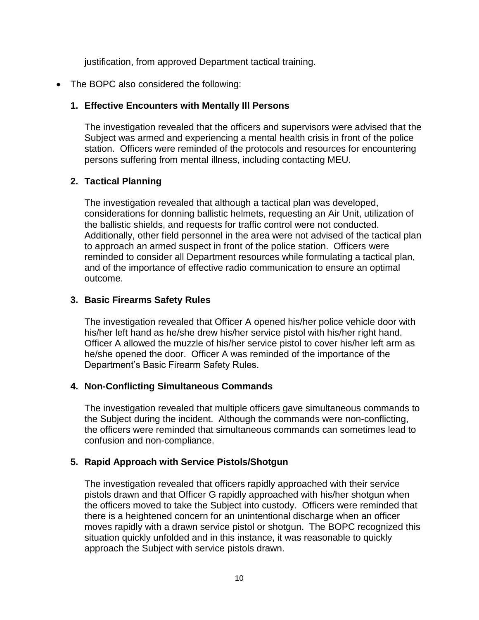justification, from approved Department tactical training.

• The BOPC also considered the following:

## **1. Effective Encounters with Mentally Ill Persons**

The investigation revealed that the officers and supervisors were advised that the Subject was armed and experiencing a mental health crisis in front of the police station. Officers were reminded of the protocols and resources for encountering persons suffering from mental illness, including contacting MEU.

## **2. Tactical Planning**

The investigation revealed that although a tactical plan was developed, considerations for donning ballistic helmets, requesting an Air Unit, utilization of the ballistic shields, and requests for traffic control were not conducted. Additionally, other field personnel in the area were not advised of the tactical plan to approach an armed suspect in front of the police station. Officers were reminded to consider all Department resources while formulating a tactical plan, and of the importance of effective radio communication to ensure an optimal outcome.

## **3. Basic Firearms Safety Rules**

The investigation revealed that Officer A opened his/her police vehicle door with his/her left hand as he/she drew his/her service pistol with his/her right hand. Officer A allowed the muzzle of his/her service pistol to cover his/her left arm as he/she opened the door. Officer A was reminded of the importance of the Department's Basic Firearm Safety Rules.

#### **4. Non-Conflicting Simultaneous Commands**

The investigation revealed that multiple officers gave simultaneous commands to the Subject during the incident. Although the commands were non-conflicting, the officers were reminded that simultaneous commands can sometimes lead to confusion and non-compliance.

#### **5. Rapid Approach with Service Pistols/Shotgun**

The investigation revealed that officers rapidly approached with their service pistols drawn and that Officer G rapidly approached with his/her shotgun when the officers moved to take the Subject into custody. Officers were reminded that there is a heightened concern for an unintentional discharge when an officer moves rapidly with a drawn service pistol or shotgun. The BOPC recognized this situation quickly unfolded and in this instance, it was reasonable to quickly approach the Subject with service pistols drawn.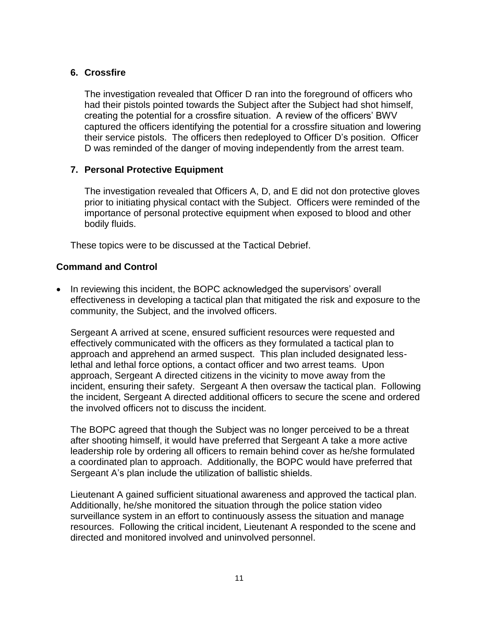## **6. Crossfire**

The investigation revealed that Officer D ran into the foreground of officers who had their pistols pointed towards the Subject after the Subject had shot himself, creating the potential for a crossfire situation. A review of the officers' BWV captured the officers identifying the potential for a crossfire situation and lowering their service pistols. The officers then redeployed to Officer D's position. Officer D was reminded of the danger of moving independently from the arrest team.

## **7. Personal Protective Equipment**

The investigation revealed that Officers A, D, and E did not don protective gloves prior to initiating physical contact with the Subject. Officers were reminded of the importance of personal protective equipment when exposed to blood and other bodily fluids.

These topics were to be discussed at the Tactical Debrief.

## **Command and Control**

• In reviewing this incident, the BOPC acknowledged the supervisors' overall effectiveness in developing a tactical plan that mitigated the risk and exposure to the community, the Subject, and the involved officers.

Sergeant A arrived at scene, ensured sufficient resources were requested and effectively communicated with the officers as they formulated a tactical plan to approach and apprehend an armed suspect. This plan included designated lesslethal and lethal force options, a contact officer and two arrest teams. Upon approach, Sergeant A directed citizens in the vicinity to move away from the incident, ensuring their safety. Sergeant A then oversaw the tactical plan. Following the incident, Sergeant A directed additional officers to secure the scene and ordered the involved officers not to discuss the incident.

The BOPC agreed that though the Subject was no longer perceived to be a threat after shooting himself, it would have preferred that Sergeant A take a more active leadership role by ordering all officers to remain behind cover as he/she formulated a coordinated plan to approach. Additionally, the BOPC would have preferred that Sergeant A's plan include the utilization of ballistic shields.

Lieutenant A gained sufficient situational awareness and approved the tactical plan. Additionally, he/she monitored the situation through the police station video surveillance system in an effort to continuously assess the situation and manage resources. Following the critical incident, Lieutenant A responded to the scene and directed and monitored involved and uninvolved personnel.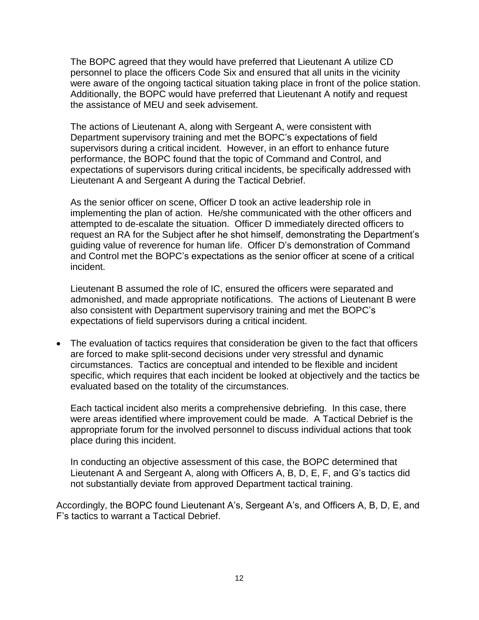The BOPC agreed that they would have preferred that Lieutenant A utilize CD personnel to place the officers Code Six and ensured that all units in the vicinity were aware of the ongoing tactical situation taking place in front of the police station. Additionally, the BOPC would have preferred that Lieutenant A notify and request the assistance of MEU and seek advisement.

The actions of Lieutenant A, along with Sergeant A, were consistent with Department supervisory training and met the BOPC's expectations of field supervisors during a critical incident. However, in an effort to enhance future performance, the BOPC found that the topic of Command and Control, and expectations of supervisors during critical incidents, be specifically addressed with Lieutenant A and Sergeant A during the Tactical Debrief.

As the senior officer on scene, Officer D took an active leadership role in implementing the plan of action. He/she communicated with the other officers and attempted to de-escalate the situation. Officer D immediately directed officers to request an RA for the Subject after he shot himself, demonstrating the Department's guiding value of reverence for human life. Officer D's demonstration of Command and Control met the BOPC's expectations as the senior officer at scene of a critical incident.

Lieutenant B assumed the role of IC, ensured the officers were separated and admonished, and made appropriate notifications. The actions of Lieutenant B were also consistent with Department supervisory training and met the BOPC's expectations of field supervisors during a critical incident.

• The evaluation of tactics requires that consideration be given to the fact that officers are forced to make split-second decisions under very stressful and dynamic circumstances. Tactics are conceptual and intended to be flexible and incident specific, which requires that each incident be looked at objectively and the tactics be evaluated based on the totality of the circumstances.

Each tactical incident also merits a comprehensive debriefing. In this case, there were areas identified where improvement could be made. A Tactical Debrief is the appropriate forum for the involved personnel to discuss individual actions that took place during this incident.

In conducting an objective assessment of this case, the BOPC determined that Lieutenant A and Sergeant A, along with Officers A, B, D, E, F, and G's tactics did not substantially deviate from approved Department tactical training.

Accordingly, the BOPC found Lieutenant A's, Sergeant A's, and Officers A, B, D, E, and F's tactics to warrant a Tactical Debrief.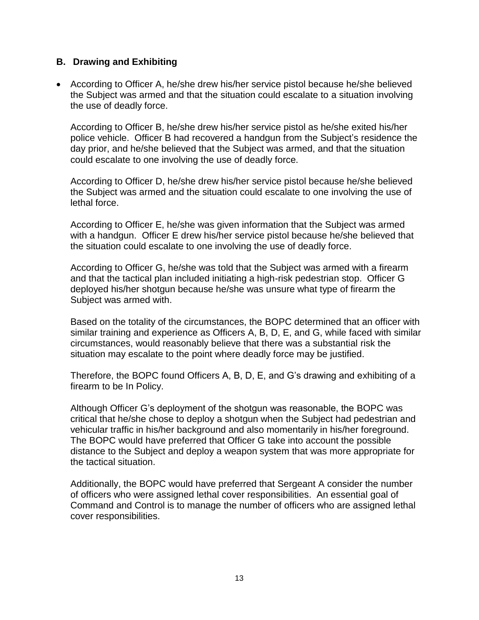#### **B. Drawing and Exhibiting**

• According to Officer A, he/she drew his/her service pistol because he/she believed the Subject was armed and that the situation could escalate to a situation involving the use of deadly force.

According to Officer B, he/she drew his/her service pistol as he/she exited his/her police vehicle. Officer B had recovered a handgun from the Subject's residence the day prior, and he/she believed that the Subject was armed, and that the situation could escalate to one involving the use of deadly force.

According to Officer D, he/she drew his/her service pistol because he/she believed the Subject was armed and the situation could escalate to one involving the use of lethal force.

According to Officer E, he/she was given information that the Subject was armed with a handgun. Officer E drew his/her service pistol because he/she believed that the situation could escalate to one involving the use of deadly force.

According to Officer G, he/she was told that the Subject was armed with a firearm and that the tactical plan included initiating a high-risk pedestrian stop. Officer G deployed his/her shotgun because he/she was unsure what type of firearm the Subject was armed with.

Based on the totality of the circumstances, the BOPC determined that an officer with similar training and experience as Officers A, B, D, E, and G, while faced with similar circumstances, would reasonably believe that there was a substantial risk the situation may escalate to the point where deadly force may be justified.

Therefore, the BOPC found Officers A, B, D, E, and G's drawing and exhibiting of a firearm to be In Policy.

Although Officer G's deployment of the shotgun was reasonable, the BOPC was critical that he/she chose to deploy a shotgun when the Subject had pedestrian and vehicular traffic in his/her background and also momentarily in his/her foreground. The BOPC would have preferred that Officer G take into account the possible distance to the Subject and deploy a weapon system that was more appropriate for the tactical situation.

Additionally, the BOPC would have preferred that Sergeant A consider the number of officers who were assigned lethal cover responsibilities. An essential goal of Command and Control is to manage the number of officers who are assigned lethal cover responsibilities.